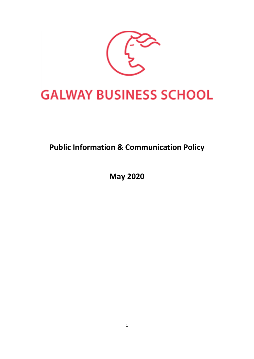

# **GALWAY BUSINESS SCHOOL**

# **Public Information & Communication Policy**

**May 2020**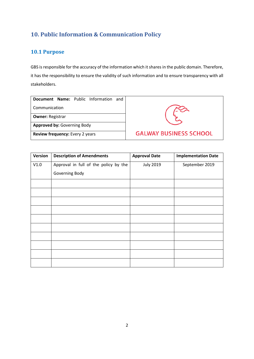## **10. Public Information & Communication Policy**

#### **10.1 Purpose**

GBS is responsible for the accuracy of the information which it shares in the public domain. Therefore, it has the responsibility to ensure the validity of such information and to ensure transparency with all stakeholders.

|                                    |  |  | Document Name: Public Information and |  |  |  |  |  |
|------------------------------------|--|--|---------------------------------------|--|--|--|--|--|
| Communication                      |  |  |                                       |  |  |  |  |  |
| <b>Owner: Registrar</b>            |  |  |                                       |  |  |  |  |  |
| <b>Approved by: Governing Body</b> |  |  |                                       |  |  |  |  |  |
| Review frequency: Every 2 years    |  |  |                                       |  |  |  |  |  |



| Version | <b>Description of Amendments</b>      | <b>Approval Date</b> | <b>Implementation Date</b> |
|---------|---------------------------------------|----------------------|----------------------------|
| V1.0    | Approval in full of the policy by the | <b>July 2019</b>     | September 2019             |
|         | Governing Body                        |                      |                            |
|         |                                       |                      |                            |
|         |                                       |                      |                            |
|         |                                       |                      |                            |
|         |                                       |                      |                            |
|         |                                       |                      |                            |
|         |                                       |                      |                            |
|         |                                       |                      |                            |
|         |                                       |                      |                            |
|         |                                       |                      |                            |
|         |                                       |                      |                            |